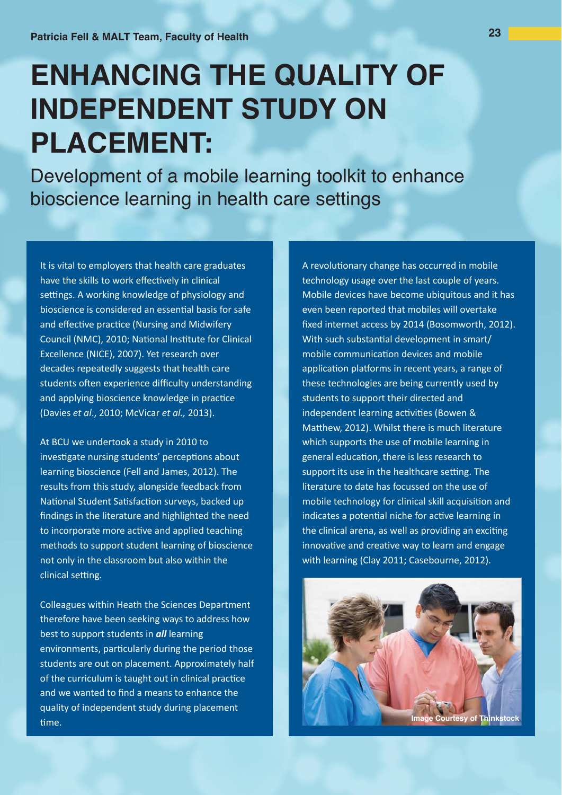# **ENHANCING THE QUALITY OF INDEPENDENT STUDY ON PLACEMENT:**

Development of a mobile learning toolkit to enhance bioscience learning in health care settings

It is vital to employers that health care graduates have the skills to work effectively in clinical settings. A working knowledge of physiology and bioscience is considered an essential basis for safe and effective practice (Nursing and Midwifery Council (NMC), 2010; National Institute for Clinical Excellence (NICE), 2007). Yet research over decades repeatedly suggests that health care students often experience difficulty understanding and applying bioscience knowledge in practice (Davies et al., 2010; McVicar et al., 2013).

At BCU we undertook a study in 2010 to investigate nursing students' perceptions about learning bioscience (Fell and James, 2012). The results from this study, alongside feedback from National Student Satisfaction surveys, backed up findings in the literature and highlighted the need to incorporate more active and applied teaching methods to support student learning of bioscience not only in the classroom but also within the clinical setting.

Colleagues within Heath the Sciences Department therefore have been seeking ways to address how best to support students in all learning environments, particularly during the period those students are out on placement. Approximately half of the curriculum is taught out in clinical practice and we wanted to find a means to enhance the quality of independent study during placement time.

A revolutionary change has occurred in mobile technology usage over the last couple of years. Mobile devices have become ubiquitous and it has even been reported that mobiles will overtake fixed internet access by 2014 (Bosomworth, 2012). With such substantial development in smart/ mobile communication devices and mobile application platforms in recent years, a range of these technologies are being currently used by students to support their directed and independent learning activities (Bowen & Matthew, 2012). Whilst there is much literature which supports the use of mobile learning in general education, there is less research to support its use in the healthcare setting. The literature to date has focussed on the use of mobile technology for clinical skill acquisition and indicates a potential niche for active learning in the clinical arena, as well as providing an exciting innovative and creative way to learn and engage with learning (Clay 2011; Casebourne, 2012).

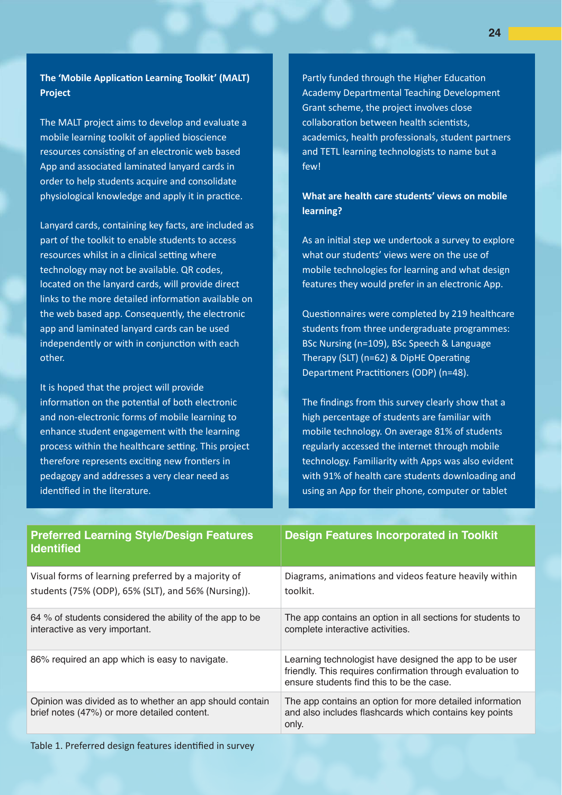The 'Mobile Application Learning Toolkit' (MALT) **Project** 

The MALT project aims to develop and evaluate a mobile learning toolkit of applied bioscience resources consisting of an electronic web based App and associated laminated lanyard cards in order to help students acquire and consolidate physiological knowledge and apply it in practice.

Lanvard cards, containing key facts, are included as part of the toolkit to enable students to access resources whilst in a clinical setting where technology may not be available. QR codes, located on the lanyard cards, will provide direct links to the more detailed information available on the web based app. Consequently, the electronic app and laminated lanyard cards can be used independently or with in conjunction with each other.

It is hoped that the project will provide information on the potential of both electronic and non-electronic forms of mobile learning to enhance student engagement with the learning process within the healthcare setting. This project therefore represents exciting new frontiers in pedagogy and addresses a very clear need as identified in the literature.

Partly funded through the Higher Education Academy Departmental Teaching Development Grant scheme, the project involves close collaboration between health scientists, academics, health professionals, student partners and TETL learning technologists to name but a few!

# What are health care students' views on mobile learning?

As an initial step we undertook a survey to explore what our students' views were on the use of mobile technologies for learning and what design features they would prefer in an electronic App.

Questionnaires were completed by 219 healthcare students from three undergraduate programmes: BSc Nursing (n=109), BSc Speech & Language Therapy (SLT) (n=62) & DipHE Operating Department Practitioners (ODP) (n=48).

The findings from this survey clearly show that a high percentage of students are familiar with mobile technology. On average 81% of students regularly accessed the internet through mobile technology. Familiarity with Apps was also evident with 91% of health care students downloading and using an App for their phone, computer or tablet

| <b>Preferred Learning Style/Design Features</b><br><b>Identified</b>                                       | <b>Design Features Incorporated in Toolkit</b>                                                                                                                    |
|------------------------------------------------------------------------------------------------------------|-------------------------------------------------------------------------------------------------------------------------------------------------------------------|
| Visual forms of learning preferred by a majority of<br>students (75% (ODP), 65% (SLT), and 56% (Nursing)). | Diagrams, animations and videos feature heavily within<br>toolkit.                                                                                                |
| 64 % of students considered the ability of the app to be<br>interactive as very important.                 | The app contains an option in all sections for students to<br>complete interactive activities.                                                                    |
| 86% required an app which is easy to navigate.                                                             | Learning technologist have designed the app to be user<br>friendly. This requires confirmation through evaluation to<br>ensure students find this to be the case. |
| Opinion was divided as to whether an app should contain<br>brief notes (47%) or more detailed content.     | The app contains an option for more detailed information<br>and also includes flashcards which contains key points<br>only.                                       |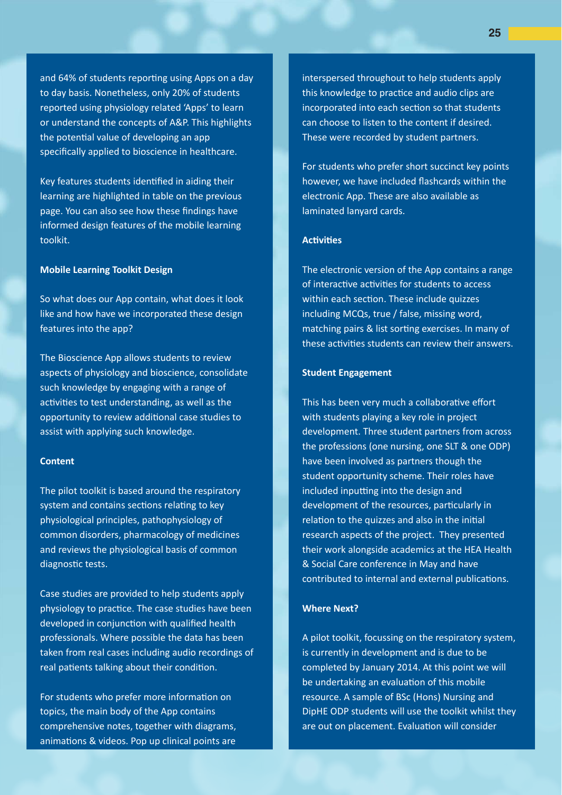and 64% of students reporting using Apps on a day to day basis. Nonetheless, only 20% of students reported using physiology related 'Apps' to learn or understand the concepts of A&P. This highlights the potential value of developing an app specifically applied to bioscience in healthcare.

Key features students identified in aiding their learning are highlighted in table on the previous page. You can also see how these findings have informed design features of the mobile learning toolkit.

## **Mobile Learning Toolkit Design**

So what does our App contain, what does it look like and how have we incorporated these design features into the app?

The Bioscience App allows students to review aspects of physiology and bioscience, consolidate such knowledge by engaging with a range of activities to test understanding, as well as the opportunity to review additional case studies to assist with applying such knowledge.

# Content

The pilot toolkit is based around the respiratory system and contains sections relating to key physiological principles, pathophysiology of common disorders, pharmacology of medicines and reviews the physiological basis of common diagnostic tests.

Case studies are provided to help students apply physiology to practice. The case studies have been developed in conjunction with qualified health professionals. Where possible the data has been taken from real cases including audio recordings of real patients talking about their condition.

For students who prefer more information on topics, the main body of the App contains comprehensive notes, together with diagrams, animations & videos. Pop up clinical points are

interspersed throughout to help students apply this knowledge to practice and audio clips are incorporated into each section so that students can choose to listen to the content if desired. These were recorded by student partners.

For students who prefer short succinct key points however, we have included flashcards within the electronic App. These are also available as laminated lanyard cards.

#### Activities

The electronic version of the App contains a range of interactive activities for students to access within each section. These include quizzes including MCQs, true / false, missing word, matching pairs & list sorting exercises. In many of these activities students can review their answers.

## **Student Engagement**

This has been very much a collaborative effort with students playing a key role in project development. Three student partners from across the professions (one nursing, one SLT & one ODP) have been involved as partners though the student opportunity scheme. Their roles have included inputting into the design and development of the resources, particularly in relation to the quizzes and also in the initial research aspects of the project. They presented their work alongside academics at the HEA Health & Social Care conference in May and have contributed to internal and external publications.

# **Where Next?**

A pilot toolkit, focussing on the respiratory system, is currently in development and is due to be completed by January 2014. At this point we will be undertaking an evaluation of this mobile resource. A sample of BSc (Hons) Nursing and DipHE ODP students will use the toolkit whilst they are out on placement. Evaluation will consider